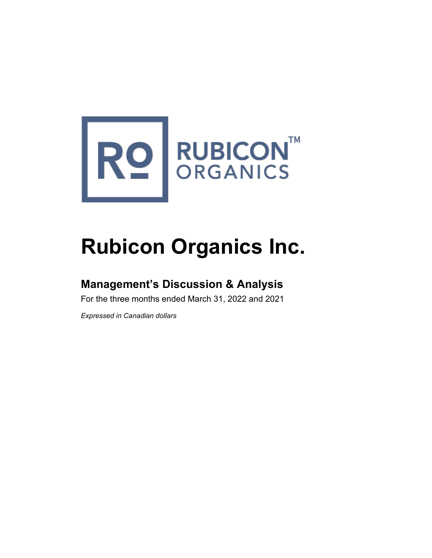

# **Rubicon Organics Inc.**

# **Management's Discussion & Analysis**

For the three months ended March 31, 2022 and 2021

*Expressed in Canadian dollars*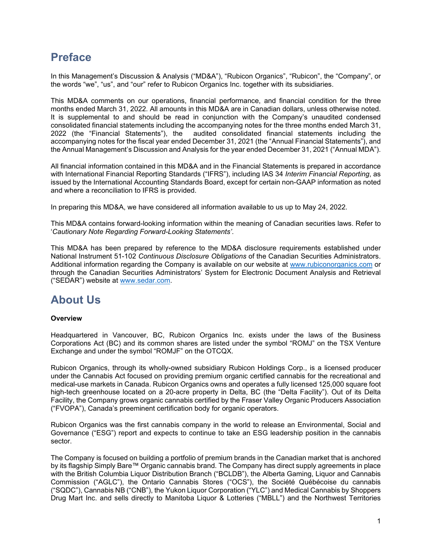# **Preface**

In this Management's Discussion & Analysis ("MD&A"), "Rubicon Organics", "Rubicon", the "Company", or the words "we", "us", and "our" refer to Rubicon Organics Inc. together with its subsidiaries.

This MD&A comments on our operations, financial performance, and financial condition for the three months ended March 31, 2022. All amounts in this MD&A are in Canadian dollars, unless otherwise noted. It is supplemental to and should be read in conjunction with the Company's unaudited condensed consolidated financial statements including the accompanying notes for the three months ended March 31, 2022 (the "Financial Statements"), the audited consolidated financial statements including the accompanying notes for the fiscal year ended December 31, 2021 (the "Annual Financial Statements"), and the Annual Management's Discussion and Analysis for the year ended December 31, 2021 ("Annual MDA").

All financial information contained in this MD&A and in the Financial Statements is prepared in accordance with International Financial Reporting Standards ("IFRS"), including IAS 34 *Interim Financial Reporting*, as issued by the International Accounting Standards Board, except for certain non-GAAP information as noted and where a reconciliation to IFRS is provided.

In preparing this MD&A, we have considered all information available to us up to May 24, 2022.

This MD&A contains forward-looking information within the meaning of Canadian securities laws. Refer to '*Cautionary Note Regarding Forward-Looking Statements'*.

This MD&A has been prepared by reference to the MD&A disclosure requirements established under National Instrument 51-102 *Continuous Disclosure Obligations* of the Canadian Securities Administrators. Additional information regarding the Company is available on our website at [www.rubiconorganics.com](http://www.rubiconorganics.com/) or through the Canadian Securities Administrators' System for Electronic Document Analysis and Retrieval ("SEDAR") website at [www.sedar.com.](http://www.sedar.com/)

### **About Us**

#### **Overview**

Headquartered in Vancouver, BC, Rubicon Organics Inc. exists under the laws of the Business Corporations Act (BC) and its common shares are listed under the symbol "ROMJ" on the TSX Venture Exchange and under the symbol "ROMJF" on the OTCQX.

Rubicon Organics, through its wholly-owned subsidiary Rubicon Holdings Corp., is a licensed producer under the Cannabis Act focused on providing premium organic certified cannabis for the recreational and medical-use markets in Canada. Rubicon Organics owns and operates a fully licensed 125,000 square foot high-tech greenhouse located on a 20-acre property in Delta, BC (the "Delta Facility"). Out of its Delta Facility, the Company grows organic cannabis certified by the Fraser Valley Organic Producers Association ("FVOPA"), Canada's preeminent certification body for organic operators.

Rubicon Organics was the first cannabis company in the world to release an Environmental, Social and Governance ("ESG") report and expects to continue to take an ESG leadership position in the cannabis sector.

The Company is focused on building a portfolio of premium brands in the Canadian market that is anchored by its flagship Simply Bare™ Organic cannabis brand. The Company has direct supply agreements in place with the British Columbia Liquor Distribution Branch ("BCLDB"), the Alberta Gaming, Liquor and Cannabis Commission ("AGLC"), the Ontario Cannabis Stores ("OCS"), the Société Québécoise du cannabis ("SQDC"), Cannabis NB ("CNB"), the Yukon Liquor Corporation ("YLC") and Medical Cannabis by Shoppers Drug Mart Inc. and sells directly to Manitoba Liquor & Lotteries ("MBLL") and the Northwest Territories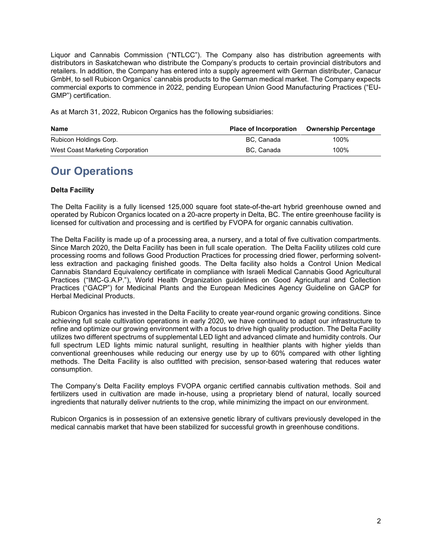Liquor and Cannabis Commission ("NTLCC"). The Company also has distribution agreements with distributors in Saskatchewan who distribute the Company's products to certain provincial distributors and retailers. In addition, the Company has entered into a supply agreement with German distributer, Canacur GmbH, to sell Rubicon Organics' cannabis products to the German medical market. The Company expects commercial exports to commence in 2022, pending European Union Good Manufacturing Practices ("EU-GMP") certification.

As at March 31, 2022, Rubicon Organics has the following subsidiaries:

| <b>Name</b>                      | <b>Place of Incorporation</b> | Ownership Percentage |
|----------------------------------|-------------------------------|----------------------|
| Rubicon Holdings Corp.           | BC. Canada                    | 100%                 |
| West Coast Marketing Corporation | BC. Canada                    | 100%                 |

# **Our Operations**

### **Delta Facility**

The Delta Facility is a fully licensed 125,000 square foot state-of-the-art hybrid greenhouse owned and operated by Rubicon Organics located on a 20-acre property in Delta, BC. The entire greenhouse facility is licensed for cultivation and processing and is certified by FVOPA for organic cannabis cultivation.

The Delta Facility is made up of a processing area, a nursery, and a total of five cultivation compartments. Since March 2020, the Delta Facility has been in full scale operation. The Delta Facility utilizes cold cure processing rooms and follows Good Production Practices for processing dried flower, performing solventless extraction and packaging finished goods. The Delta facility also holds a [Control Union Medical](https://certifications.controlunion.com/en/certification-programs/certification-programs/control-union-medical-cannabis-standard)  [Cannabis Standard](https://certifications.controlunion.com/en/certification-programs/certification-programs/control-union-medical-cannabis-standard) Equivalency certificate in compliance with Israeli Medical Cannabis Good Agricultural Practices ("IMC-G.A.P."), World Health Organization guidelines on Good Agricultural and Collection Practices ("GACP") for Medicinal Plants and the European Medicines Agency Guideline on GACP for Herbal Medicinal Products.

Rubicon Organics has invested in the Delta Facility to create year-round organic growing conditions. Since achieving full scale cultivation operations in early 2020, we have continued to adapt our infrastructure to refine and optimize our growing environment with a focus to drive high quality production. The Delta Facility utilizes two different spectrums of supplemental LED light and advanced climate and humidity controls. Our full spectrum LED lights mimic natural sunlight, resulting in healthier plants with higher yields than conventional greenhouses while reducing our energy use by up to 60% compared with other lighting methods. The Delta Facility is also outfitted with precision, sensor-based watering that reduces water consumption.

The Company's Delta Facility employs FVOPA organic certified cannabis cultivation methods. Soil and fertilizers used in cultivation are made in-house, using a proprietary blend of natural, locally sourced ingredients that naturally deliver nutrients to the crop, while minimizing the impact on our environment.

Rubicon Organics is in possession of an extensive genetic library of cultivars previously developed in the medical cannabis market that have been stabilized for successful growth in greenhouse conditions.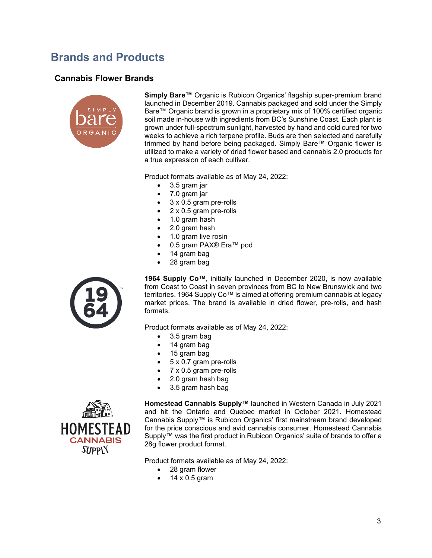# **Brands and Products**

### **Cannabis Flower Brands**



**Simply Bare™** Organic is Rubicon Organics' flagship super-premium brand launched in December 2019. Cannabis packaged and sold under the Simply Bare™ Organic brand is grown in a proprietary mix of 100% certified organic soil made in-house with ingredients from BC's Sunshine Coast. Each plant is grown under full-spectrum sunlight, harvested by hand and cold cured for two weeks to achieve a rich terpene profile. Buds are then selected and carefully trimmed by hand before being packaged. Simply Bare™ Organic flower is utilized to make a variety of dried flower based and cannabis 2.0 products for a true expression of each cultivar.

Product formats available as of May 24, 2022:

- 3.5 gram jar
- 7.0 gram jar
- 3 x 0.5 gram pre-rolls
- 2 x 0.5 gram pre-rolls
- 1.0 gram hash
- 2.0 gram hash
- 1.0 gram live rosin
- 0.5 gram PAX® Era™ pod
- 14 gram bag
- 28 gram bag



**1964 Supply Co™**, initially launched in December 2020, is now available from Coast to Coast in seven provinces from BC to New Brunswick and two territories. 1964 Supply Co™ is aimed at offering premium cannabis at legacy market prices. The brand is available in dried flower, pre-rolls, and hash formats.

Product formats available as of May 24, 2022:

- 3.5 gram bag
- 14 gram bag
- 15 gram bag
- 5 x 0.7 gram pre-rolls
- 7 x 0.5 gram pre-rolls
- 2.0 gram hash bag
- 3.5 gram hash bag



**Homestead Cannabis Supply™** launched in Western Canada in July 2021 and hit the Ontario and Quebec market in October 2021. Homestead Cannabis Supply™ is Rubicon Organics' first mainstream brand developed for the price conscious and avid cannabis consumer. Homestead Cannabis Supply™ was the first product in Rubicon Organics' suite of brands to offer a 28g flower product format.

Product formats available as of May 24, 2022:

- 28 gram flower
- $\bullet$  14 x 0.5 gram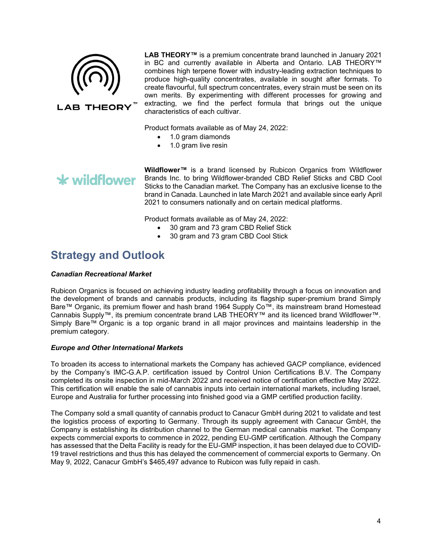

**LAB THEORY** 

**LAB THEORY™** is a premium concentrate brand launched in January 2021 in BC and currently available in Alberta and Ontario. LAB THEORY™ combines high terpene flower with industry-leading extraction techniques to produce high-quality concentrates, available in sought after formats. To create flavourful, full spectrum concentrates, every strain must be seen on its own merits. By experimenting with different processes for growing and extracting, we find the perfect formula that brings out the unique characteristics of each cultivar.

Product formats available as of May 24, 2022:

• 1.0 gram diamonds

• 1.0 gram live resin

# \* wildflower

**Wildflower™** is a brand licensed by Rubicon Organics from Wildflower Brands Inc. to bring Wildflower-branded CBD Relief Sticks and CBD Cool Sticks to the Canadian market. The Company has an exclusive license to the brand in Canada. Launched in late March 2021 and available since early April 2021 to consumers nationally and on certain medical platforms.

Product formats available as of May 24, 2022:

- 30 gram and 73 gram CBD Relief Stick
- 30 gram and 73 gram CBD Cool Stick

### **Strategy and Outlook**

#### *Canadian Recreational Market*

Rubicon Organics is focused on achieving industry leading profitability through a focus on innovation and the development of brands and cannabis products, including its flagship super-premium brand Simply Bare™ Organic, its premium flower and hash brand 1964 Supply Co™, its mainstream brand Homestead Cannabis Supply™, its premium concentrate brand LAB THEORY™ and its licenced brand Wildflower™. Simply Bare™ Organic is a top organic brand in all major provinces and maintains leadership in the premium category.

#### *Europe and Other International Markets*

To broaden its access to international markets the Company has achieved GACP compliance, evidenced by the Company's IMC-G.A.P. certification issued by Control Union Certifications B.V. The Company completed its onsite inspection in mid-March 2022 and received notice of certification effective May 2022. This certification will enable the sale of cannabis inputs into certain international markets, including Israel, Europe and Australia for further processing into finished good via a GMP certified production facility.

The Company sold a small quantity of cannabis product to Canacur GmbH during 2021 to validate and test the logistics process of exporting to Germany. Through its supply agreement with Canacur GmbH, the Company is establishing its distribution channel to the German medical cannabis market. The Company expects commercial exports to commence in 2022, pending EU-GMP certification. Although the Company has assessed that the Delta Facility is ready for the EU-GMP inspection, it has been delayed due to COVID-19 travel restrictions and thus this has delayed the commencement of commercial exports to Germany. On May 9, 2022, Canacur GmbH's \$465,497 advance to Rubicon was fully repaid in cash.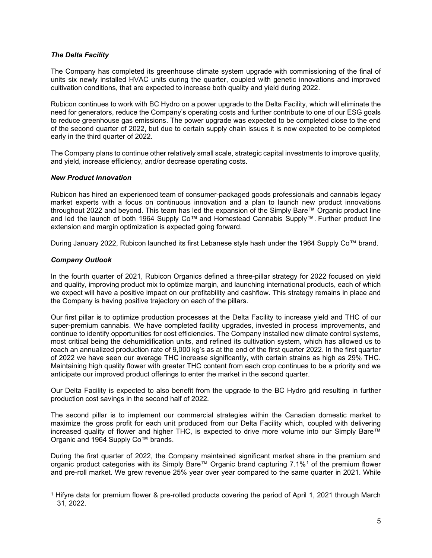#### *The Delta Facility*

The Company has completed its greenhouse climate system upgrade with commissioning of the final of units six newly installed HVAC units during the quarter, coupled with genetic innovations and improved cultivation conditions, that are expected to increase both quality and yield during 2022.

Rubicon continues to work with BC Hydro on a power upgrade to the Delta Facility, which will eliminate the need for generators, reduce the Company's operating costs and further contribute to one of our ESG goals to reduce greenhouse gas emissions. The power upgrade was expected to be completed close to the end of the second quarter of 2022, but due to certain supply chain issues it is now expected to be completed early in the third quarter of 2022.

The Company plans to continue other relatively small scale, strategic capital investments to improve quality, and yield, increase efficiency, and/or decrease operating costs.

#### *New Product Innovation*

Rubicon has hired an experienced team of consumer-packaged goods professionals and cannabis legacy market experts with a focus on continuous innovation and a plan to launch new product innovations throughout 2022 and beyond. This team has led the expansion of the Simply Bare™ Organic product line and led the launch of both 1964 Supply Co™ and Homestead Cannabis Supply™. Further product line extension and margin optimization is expected going forward.

During January 2022, Rubicon launched its first Lebanese style hash under the 1964 Supply Co™ brand.

#### *Company Outlook*

In the fourth quarter of 2021, Rubicon Organics defined a three-pillar strategy for 2022 focused on yield and quality, improving product mix to optimize margin, and launching international products, each of which we expect will have a positive impact on our profitability and cashflow. This strategy remains in place and the Company is having positive trajectory on each of the pillars.

Our first pillar is to optimize production processes at the Delta Facility to increase yield and THC of our super-premium cannabis. We have completed facility upgrades, invested in process improvements, and continue to identify opportunities for cost efficiencies. The Company installed new climate control systems, most critical being the dehumidification units, and refined its cultivation system, which has allowed us to reach an annualized production rate of 9,000 kg's as at the end of the first quarter 2022. In the first quarter of 2022 we have seen our average THC increase significantly, with certain strains as high as 29% THC. Maintaining high quality flower with greater THC content from each crop continues to be a priority and we anticipate our improved product offerings to enter the market in the second quarter.

Our Delta Facility is expected to also benefit from the upgrade to the BC Hydro grid resulting in further production cost savings in the second half of 2022.

The second pillar is to implement our commercial strategies within the Canadian domestic market to maximize the gross profit for each unit produced from our Delta Facility which, coupled with delivering increased quality of flower and higher THC, is expected to drive more volume into our Simply Bare™ Organic and 1964 Supply Co™ brands.

During the first quarter of 2022, the Company maintained significant market share in the premium and organic product categories with its Simply Bare™ Organic brand capturing 7.1%[1](#page-5-0) of the premium flower and pre-roll market. We grew revenue 25% year over year compared to the same quarter in 2021. While

<span id="page-5-0"></span><sup>1</sup> Hifyre data for premium flower & pre-rolled products covering the period of April 1, 2021 through March 31, 2022.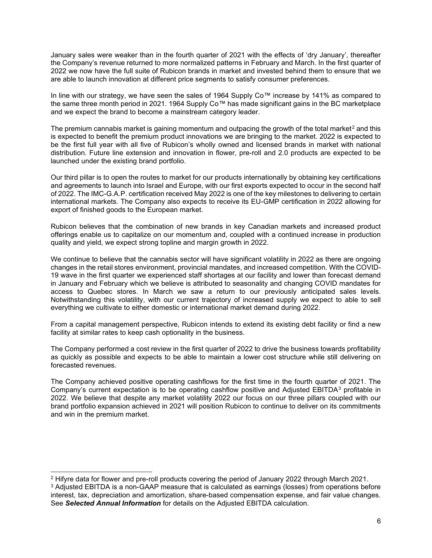January sales were weaker than in the fourth quarter of 2021 with the effects of 'dry January', thereafter the Company's revenue returned to more normalized patterns in February and March. In the first quarter of 2022 we now have the full suite of Rubicon brands in market and invested behind them to ensure that we are able to launch innovation at different price segments to satisfy consumer preferences.

In line with our strategy, we have seen the sales of 1964 Supply Co™ increase by 141% as compared to the same three month period in 2021. 1964 Supply Co™ has made significant gains in the BC marketplace and we expect the brand to become a mainstream category leader.

The premium cannabis market is gaining momentum and outpacing the growth of the total market<sup>[2](#page-6-0)</sup> and this is expected to benefit the premium product innovations we are bringing to the market. 2022 is expected to be the first full year with all five of Rubicon's wholly owned and licensed brands in market with national distribution. Future line extension and innovation in flower, pre-roll and 2.0 products are expected to be launched under the existing brand portfolio.

Our third pillar is to open the routes to market for our products internationally by obtaining key certifications and agreements to launch into Israel and Europe, with our first exports expected to occur in the second half of 2022. The IMC-G.A.P. certification received May 2022 is one of the key milestones to delivering to certain international markets. The Company also expects to receive its EU-GMP certification in 2022 allowing for export of finished goods to the European market.

Rubicon believes that the combination of new brands in key Canadian markets and increased product offerings enable us to capitalize on our momentum and, coupled with a continued increase in production quality and yield, we expect strong topline and margin growth in 2022.

We continue to believe that the cannabis sector will have significant volatility in 2022 as there are ongoing changes in the retail stores environment, provincial mandates, and increased competition. With the COVID-19 wave in the first quarter we experienced staff shortages at our facility and lower than forecast demand in January and February which we believe is attributed to seasonality and changing COVID mandates for access to Quebec stores. In March we saw a return to our previously anticipated sales levels. Notwithstanding this volatility, with our current trajectory of increased supply we expect to able to sell everything we cultivate to either domestic or international market demand during 2022.

From a capital management perspective, Rubicon intends to extend its existing debt facility or find a new facility at similar rates to keep cash optionality in the business.

The Company performed a cost review in the first quarter of 2022 to drive the business towards profitability as quickly as possible and expects to be able to maintain a lower cost structure while still delivering on forecasted revenues.

The Company achieved positive operating cashflows for the first time in the fourth quarter of 2021. The Company's current expectation is to be operating cashflow positive and Adjusted EBITDA<sup>[3](#page-6-1)</sup> profitable in 2022. We believe that despite any market volatility 2022 our focus on our three pillars coupled with our brand portfolio expansion achieved in 2021 will position Rubicon to continue to deliver on its commitments and win in the premium market.

<span id="page-6-1"></span><span id="page-6-0"></span><sup>2</sup> Hifyre data for flower and pre-roll products covering the period of January 2022 through March 2021. <sup>3</sup> Adjusted EBITDA is a non-GAAP measure that is calculated as earnings (losses) from operations before interest, tax, depreciation and amortization, share-based compensation expense, and fair value changes. See *Selected Annual Information* for details on the Adjusted EBITDA calculation.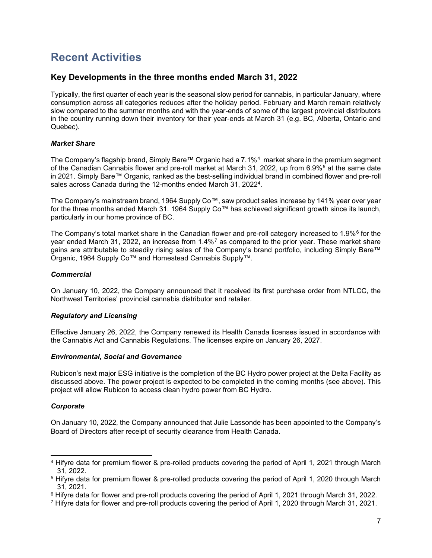# **Recent Activities**

### **Key Developments in the three months ended March 31, 2022**

Typically, the first quarter of each year is the seasonal slow period for cannabis, in particular January, where consumption across all categories reduces after the holiday period. February and March remain relatively slow compared to the summer months and with the year-ends of some of the largest provincial distributors in the country running down their inventory for their year-ends at March 31 (e.g. BC, Alberta, Ontario and Quebec).

#### *Market Share*

The Company's flagship brand, Simply Bare™ Organic had a 7.1%<sup>4</sup> market share in the premium segment of the Canadian Cannabis flower and pre-roll market at March 31, 2022, up from 6.9%<sup>[5](#page-7-1)</sup> at the same date in 2021. Simply Bare™ Organic, ranked as the best-selling individual brand in combined flower and pre-roll sales across Canada during the 12-months ended March 31, 20224.

The Company's mainstream brand, 1964 Supply Co™, saw product sales increase by 141% year over year for the three months ended March 31. 1964 Supply Co™ has achieved significant growth since its launch, particularly in our home province of BC.

The Company's total market share in the Canadian flower and pre-roll category increased to 1.9%<sup>[6](#page-7-2)</sup> for the year ended March 31, 2022, an increase from 1.4%[7](#page-7-3) as compared to the prior year. These market share gains are attributable to steadily rising sales of the Company's brand portfolio, including Simply Bare™ Organic, 1964 Supply Co™ and Homestead Cannabis Supply™.

#### *Commercial*

On January 10, 2022, the Company announced that it received its first purchase order from NTLCC, the Northwest Territories' provincial cannabis distributor and retailer.

#### *Regulatory and Licensing*

Effective January 26, 2022, the Company renewed its Health Canada licenses issued in accordance with the Cannabis Act and Cannabis Regulations. The licenses expire on January 26, 2027.

#### *Environmental, Social and Governance*

Rubicon's next major ESG initiative is the completion of the BC Hydro power project at the Delta Facility as discussed above. The power project is expected to be completed in the coming months (see above). This project will allow Rubicon to access clean hydro power from BC Hydro.

#### *Corporate*

On January 10, 2022, the Company announced that Julie Lassonde has been appointed to the Company's Board of Directors after receipt of security clearance from Health Canada.

<span id="page-7-0"></span><sup>4</sup> Hifyre data for premium flower & pre-rolled products covering the period of April 1, 2021 through March 31, 2022.

<span id="page-7-1"></span><sup>5</sup> Hifyre data for premium flower & pre-rolled products covering the period of April 1, 2020 through March 31, 2021.

<span id="page-7-2"></span><sup>6</sup> Hifyre data for flower and pre-roll products covering the period of April 1, 2021 through March 31, 2022.

<span id="page-7-3"></span><sup>7</sup> Hifyre data for flower and pre-roll products covering the period of April 1, 2020 through March 31, 2021.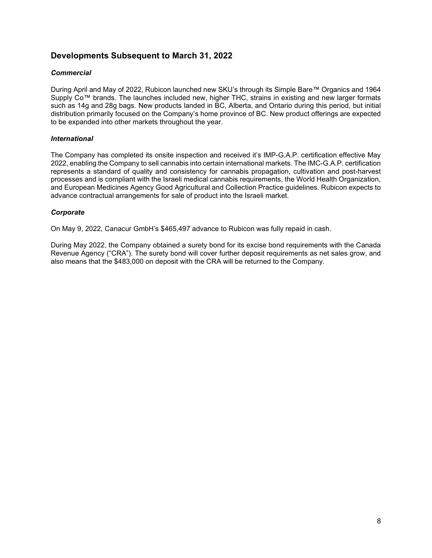### **Developments Subsequent to March 31, 2022**

#### *Commercial*

During April and May of 2022, Rubicon launched new SKU's through its Simple Bare™ Organics and 1964 Supply Co™ brands. The launches included new, higher THC, strains in existing and new larger formats such as 14g and 28g bags. New products landed in BC, Alberta, and Ontario during this period, but initial distribution primarily focused on the Company's home province of BC. New product offerings are expected to be expanded into other markets throughout the year.

#### *International*

The Company has completed its onsite inspection and received it's IMP-G.A.P. certification effective May 2022, enabling the Company to sell cannabis into certain international markets. The IMC-G.A.P. certification represents a standard of quality and consistency for cannabis propagation, cultivation and post-harvest processes and is compliant with the Israeli medical cannabis requirements, the World Health Organization, and European Medicines Agency Good Agricultural and Collection Practice guidelines. Rubicon expects to advance contractual arrangements for sale of product into the Israeli market.

#### *Corporate*

On May 9, 2022, Canacur GmbH's \$465,497 advance to Rubicon was fully repaid in cash.

During May 2022, the Company obtained a surety bond for its excise bond requirements with the Canada Revenue Agency ("CRA"). The surety bond will cover further deposit requirements as net sales grow, and also means that the \$483,000 on deposit with the CRA will be returned to the Company.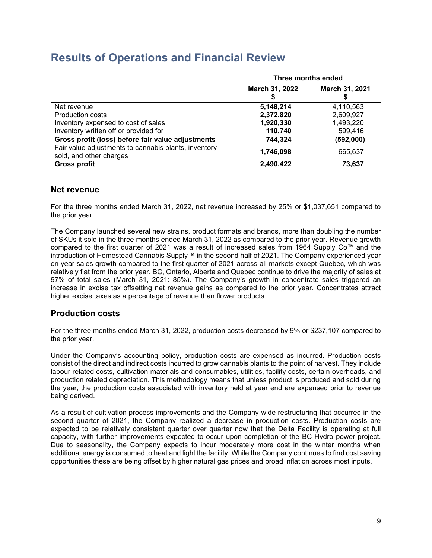### **Results of Operations and Financial Review**

|                                                                                 | Three months ended |                |  |
|---------------------------------------------------------------------------------|--------------------|----------------|--|
|                                                                                 | March 31, 2022     | March 31, 2021 |  |
| Net revenue                                                                     | 5,148,214          | 4,110,563      |  |
| Production costs                                                                | 2,372,820          | 2,609,927      |  |
| Inventory expensed to cost of sales                                             | 1,920,330          | 1,493,220      |  |
| Inventory written off or provided for                                           | 110,740            | 599,416        |  |
| Gross profit (loss) before fair value adjustments                               | 744,324            | (592,000)      |  |
| Fair value adjustments to cannabis plants, inventory<br>sold, and other charges | 1,746,098          | 665,637        |  |
| Gross profit                                                                    | 2,490,422          | 73,637         |  |

### **Net revenue**

For the three months ended March 31, 2022, net revenue increased by 25% or \$1,037,651 compared to the prior year.

The Company launched several new strains, product formats and brands, more than doubling the number of SKUs it sold in the three months ended March 31, 2022 as compared to the prior year. Revenue growth compared to the first quarter of 2021 was a result of increased sales from 1964 Supply Co™ and the introduction of Homestead Cannabis Supply™ in the second half of 2021. The Company experienced year on year sales growth compared to the first quarter of 2021 across all markets except Quebec, which was relatively flat from the prior year. BC, Ontario, Alberta and Quebec continue to drive the majority of sales at 97% of total sales (March 31, 2021: 85%). The Company's growth in concentrate sales triggered an increase in excise tax offsetting net revenue gains as compared to the prior year. Concentrates attract higher excise taxes as a percentage of revenue than flower products.

### **Production costs**

For the three months ended March 31, 2022, production costs decreased by 9% or \$237,107 compared to the prior year.

Under the Company's accounting policy, production costs are expensed as incurred. Production costs consist of the direct and indirect costs incurred to grow cannabis plants to the point of harvest. They include labour related costs, cultivation materials and consumables, utilities, facility costs, certain overheads, and production related depreciation. This methodology means that unless product is produced and sold during the year, the production costs associated with inventory held at year end are expensed prior to revenue being derived.

As a result of cultivation process improvements and the Company-wide restructuring that occurred in the second quarter of 2021, the Company realized a decrease in production costs. Production costs are expected to be relatively consistent quarter over quarter now that the Delta Facility is operating at full capacity, with further improvements expected to occur upon completion of the BC Hydro power project. Due to seasonality, the Company expects to incur moderately more cost in the winter months when additional energy is consumed to heat and light the facility. While the Company continues to find cost saving opportunities these are being offset by higher natural gas prices and broad inflation across most inputs.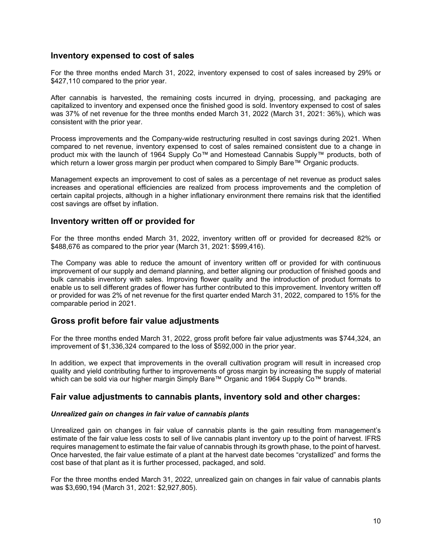### **Inventory expensed to cost of sales**

For the three months ended March 31, 2022, inventory expensed to cost of sales increased by 29% or \$427,110 compared to the prior year.

After cannabis is harvested, the remaining costs incurred in drying, processing, and packaging are capitalized to inventory and expensed once the finished good is sold. Inventory expensed to cost of sales was 37% of net revenue for the three months ended March 31, 2022 (March 31, 2021: 36%), which was consistent with the prior year.

Process improvements and the Company-wide restructuring resulted in cost savings during 2021. When compared to net revenue, inventory expensed to cost of sales remained consistent due to a change in product mix with the launch of 1964 Supply Co™ and Homestead Cannabis Supply™ products, both of which return a lower gross margin per product when compared to Simply Bare™ Organic products.

Management expects an improvement to cost of sales as a percentage of net revenue as product sales increases and operational efficiencies are realized from process improvements and the completion of certain capital projects, although in a higher inflationary environment there remains risk that the identified cost savings are offset by inflation.

#### **Inventory written off or provided for**

For the three months ended March 31, 2022, inventory written off or provided for decreased 82% or \$488,676 as compared to the prior year (March 31, 2021: \$599,416).

The Company was able to reduce the amount of inventory written off or provided for with continuous improvement of our supply and demand planning, and better aligning our production of finished goods and bulk cannabis inventory with sales. Improving flower quality and the introduction of product formats to enable us to sell different grades of flower has further contributed to this improvement. Inventory written off or provided for was 2% of net revenue for the first quarter ended March 31, 2022, compared to 15% for the comparable period in 2021.

### **Gross profit before fair value adjustments**

For the three months ended March 31, 2022, gross profit before fair value adjustments was \$744,324, an improvement of \$1,336,324 compared to the loss of \$592,000 in the prior year.

In addition, we expect that improvements in the overall cultivation program will result in increased crop quality and yield contributing further to improvements of gross margin by increasing the supply of material which can be sold via our higher margin Simply Bare™ Organic and 1964 Supply Co™ brands.

#### **Fair value adjustments to cannabis plants, inventory sold and other charges:**

#### *Unrealized gain on changes in fair value of cannabis plants*

Unrealized gain on changes in fair value of cannabis plants is the gain resulting from management's estimate of the fair value less costs to sell of live cannabis plant inventory up to the point of harvest. IFRS requires management to estimate the fair value of cannabis through its growth phase, to the point of harvest. Once harvested, the fair value estimate of a plant at the harvest date becomes "crystallized" and forms the cost base of that plant as it is further processed, packaged, and sold.

For the three months ended March 31, 2022, unrealized gain on changes in fair value of cannabis plants was \$3,690,194 (March 31, 2021: \$2,927,805).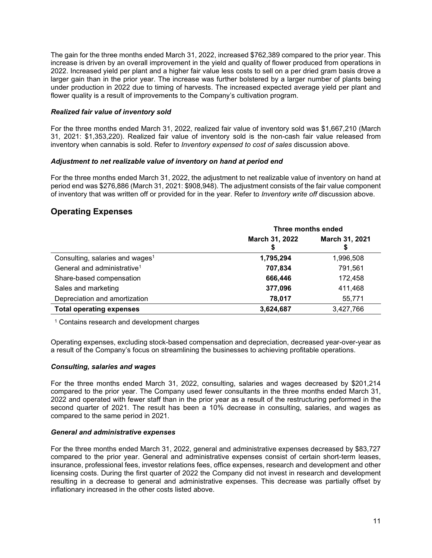The gain for the three months ended March 31, 2022, increased \$762,389 compared to the prior year. This increase is driven by an overall improvement in the yield and quality of flower produced from operations in 2022. Increased yield per plant and a higher fair value less costs to sell on a per dried gram basis drove a larger gain than in the prior year. The increase was further bolstered by a larger number of plants being under production in 2022 due to timing of harvests. The increased expected average yield per plant and flower quality is a result of improvements to the Company's cultivation program.

#### *Realized fair value of inventory sold*

For the three months ended March 31, 2022, realized fair value of inventory sold was \$1,667,210 (March 31, 2021: \$1,353,220). Realized fair value of inventory sold is the non-cash fair value released from inventory when cannabis is sold. Refer to *Inventory expensed to cost of sales* discussion above.

#### *Adjustment to net realizable value of inventory on hand at period end*

For the three months ended March 31, 2022, the adjustment to net realizable value of inventory on hand at period end was \$276,886 (March 31, 2021: \$908,948). The adjustment consists of the fair value component of inventory that was written off or provided for in the year. Refer to *Inventory write off* discussion above.

### **Operating Expenses**

|                                             | Three months ended |                |  |
|---------------------------------------------|--------------------|----------------|--|
|                                             | March 31, 2022     | March 31, 2021 |  |
| Consulting, salaries and wages <sup>1</sup> | 1,795,294          | 1,996,508      |  |
| General and administrative <sup>1</sup>     | 707,834            | 791,561        |  |
| Share-based compensation                    | 666,446            | 172,458        |  |
| Sales and marketing                         | 377,096            | 411,468        |  |
| Depreciation and amortization               | 78,017             | 55,771         |  |
| <b>Total operating expenses</b>             | 3,624,687          | 3,427,766      |  |

<sup>1</sup> Contains research and development charges

Operating expenses, excluding stock-based compensation and depreciation, decreased year-over-year as a result of the Company's focus on streamlining the businesses to achieving profitable operations.

#### *Consulting, salaries and wages*

For the three months ended March 31, 2022, consulting, salaries and wages decreased by \$201,214 compared to the prior year. The Company used fewer consultants in the three months ended March 31, 2022 and operated with fewer staff than in the prior year as a result of the restructuring performed in the second quarter of 2021. The result has been a 10% decrease in consulting, salaries, and wages as compared to the same period in 2021.

#### *General and administrative expenses*

For the three months ended March 31, 2022, general and administrative expenses decreased by \$83,727 compared to the prior year. General and administrative expenses consist of certain short-term leases, insurance, professional fees, investor relations fees, office expenses, research and development and other licensing costs. During the first quarter of 2022 the Company did not invest in research and development resulting in a decrease to general and administrative expenses. This decrease was partially offset by inflationary increased in the other costs listed above.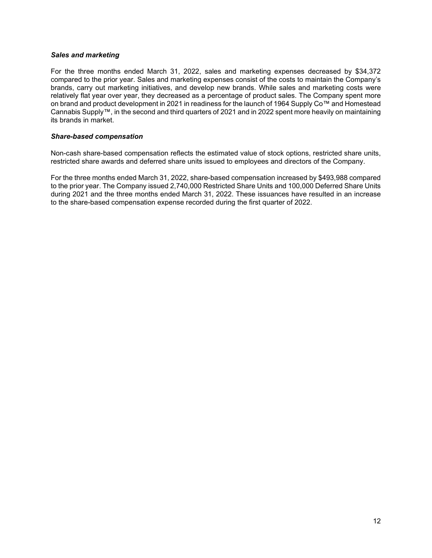#### *Sales and marketing*

For the three months ended March 31, 2022, sales and marketing expenses decreased by \$34,372 compared to the prior year. Sales and marketing expenses consist of the costs to maintain the Company's brands, carry out marketing initiatives, and develop new brands. While sales and marketing costs were relatively flat year over year, they decreased as a percentage of product sales. The Company spent more on brand and product development in 2021 in readiness for the launch of 1964 Supply Co™ and Homestead Cannabis Supply™, in the second and third quarters of 2021 and in 2022 spent more heavily on maintaining its brands in market.

#### *Share-based compensation*

Non-cash share-based compensation reflects the estimated value of stock options, restricted share units, restricted share awards and deferred share units issued to employees and directors of the Company.

For the three months ended March 31, 2022, share-based compensation increased by \$493,988 compared to the prior year. The Company issued 2,740,000 Restricted Share Units and 100,000 Deferred Share Units during 2021 and the three months ended March 31, 2022. These issuances have resulted in an increase to the share-based compensation expense recorded during the first quarter of 2022.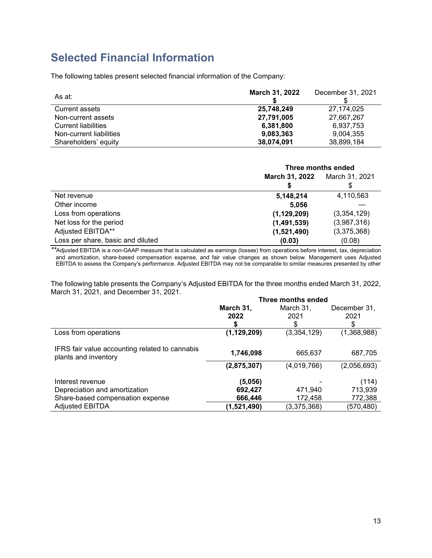# **Selected Financial Information**

The following tables present selected financial information of the Company:

| As at:                  | March 31, 2022 | December 31, 2021 |
|-------------------------|----------------|-------------------|
| <b>Current assets</b>   | 25,748,249     | 27.174.025        |
| Non-current assets      | 27,791,005     | 27,667,267        |
| Current liabilities     | 6,381,800      | 6,937,753         |
| Non-current liabilities | 9,083,363      | 9.004.355         |
| Shareholders' equity    | 38,074,091     | 38,899,184        |

|                                   | Three months ended                      |             |  |
|-----------------------------------|-----------------------------------------|-------------|--|
|                                   | <b>March 31, 2022</b><br>March 31, 2021 |             |  |
|                                   |                                         | \$          |  |
| Net revenue                       | 5,148,214                               | 4,110,563   |  |
| Other income                      | 5,056                                   |             |  |
| Loss from operations              | (1, 129, 209)                           | (3,354,129) |  |
| Net loss for the period           | (1,491,539)                             | (3,987,316) |  |
| Adjusted EBITDA**                 | (1,521,490)                             | (3,375,368) |  |
| Loss per share, basic and diluted | (0.03)                                  | (0.08)      |  |

*\*\**Adjusted EBITDA is a non-GAAP measure that is calculated as earnings (losses) from operations before interest, tax, depreciation and amortization, share-based compensation expense, and fair value changes as shown below. Management uses Adjusted EBITDA to assess the Company's performance. Adjusted EBITDA may not be comparable to similar measures presented by other

The following table presents the Company's Adjusted EBITDA for the three months ended March 31, 2022, March 31, 2021, and December 31, 2021.

|                                                                        | Three months ended |             |              |  |
|------------------------------------------------------------------------|--------------------|-------------|--------------|--|
|                                                                        | March 31,          | March 31,   | December 31, |  |
|                                                                        | 2022               | 2021        | 2021         |  |
|                                                                        |                    | S           | S            |  |
| Loss from operations                                                   | (1, 129, 209)      | (3,354,129) | (1,368,988)  |  |
| IFRS fair value accounting related to cannabis<br>plants and inventory | 1,746,098          | 665,637     | 687,705      |  |
|                                                                        | (2,875,307)        | (4,019,766) | (2,056,693)  |  |
| Interest revenue                                                       | (5,056)            |             | (114)        |  |
| Depreciation and amortization                                          | 692,427            | 471,940     | 713,939      |  |
| Share-based compensation expense                                       | 666,446            | 172,458     | 772,388      |  |
| <b>Adjusted EBITDA</b>                                                 | (1,521,490)        | (3,375,368) | (570, 480)   |  |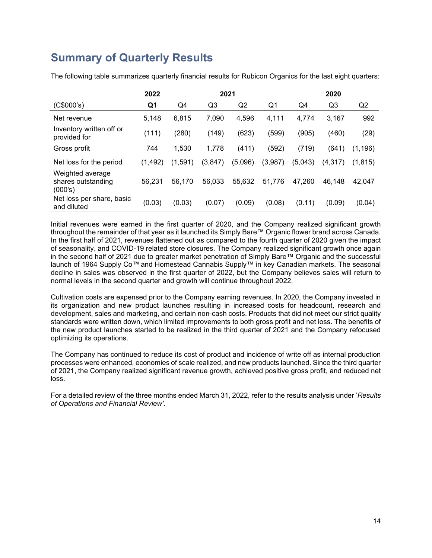# **Summary of Quarterly Results**

|                                                   | 2022     |         | 2021           |         |         |         | 2020     |          |
|---------------------------------------------------|----------|---------|----------------|---------|---------|---------|----------|----------|
| (C\$000's)                                        | Q1       | Q4      | Q <sub>3</sub> | Q2      | Q1      | Q4      | Q3       | Q2       |
| Net revenue                                       | 5.148    | 6.815   | 7,090          | 4,596   | 4,111   | 4,774   | 3,167    | 992      |
| Inventory written off or<br>provided for          | (111)    | (280)   | (149)          | (623)   | (599)   | (905)   | (460)    | (29)     |
| Gross profit                                      | 744      | 1,530   | 1,778          | (411)   | (592)   | (719)   | (641)    | (1, 196) |
| Net loss for the period                           | (1, 492) | (1,591) | (3,847)        | (5,096) | (3,987) | (5,043) | (4, 317) | (1,815)  |
| Weighted average<br>shares outstanding<br>(000's) | 56.231   | 56.170  | 56.033         | 55.632  | 51,776  | 47,260  | 46.148   | 42,047   |
| Net loss per share, basic<br>and diluted          | (0.03)   | (0.03)  | (0.07)         | (0.09)  | (0.08)  | (0.11)  | (0.09)   | (0.04)   |

The following table summarizes quarterly financial results for Rubicon Organics for the last eight quarters:

Initial revenues were earned in the first quarter of 2020, and the Company realized significant growth throughout the remainder of that year as it launched its Simply Bare™ Organic flower brand across Canada. In the first half of 2021, revenues flattened out as compared to the fourth quarter of 2020 given the impact of seasonality, and COVID-19 related store closures. The Company realized significant growth once again in the second half of 2021 due to greater market penetration of Simply Bare™ Organic and the successful launch of 1964 Supply Co™ and Homestead Cannabis Supply™ in key Canadian markets. The seasonal decline in sales was observed in the first quarter of 2022, but the Company believes sales will return to normal levels in the second quarter and growth will continue throughout 2022.

Cultivation costs are expensed prior to the Company earning revenues. In 2020, the Company invested in its organization and new product launches resulting in increased costs for headcount, research and development, sales and marketing, and certain non-cash costs. Products that did not meet our strict quality standards were written down, which limited improvements to both gross profit and net loss. The benefits of the new product launches started to be realized in the third quarter of 2021 and the Company refocused optimizing its operations.

The Company has continued to reduce its cost of product and incidence of write off as internal production processes were enhanced, economies of scale realized, and new products launched. Since the third quarter of 2021, the Company realized significant revenue growth, achieved positive gross profit, and reduced net loss.

For a detailed review of the three months ended March 31, 2022, refer to the results analysis under '*Results of Operations and Financial Review'.*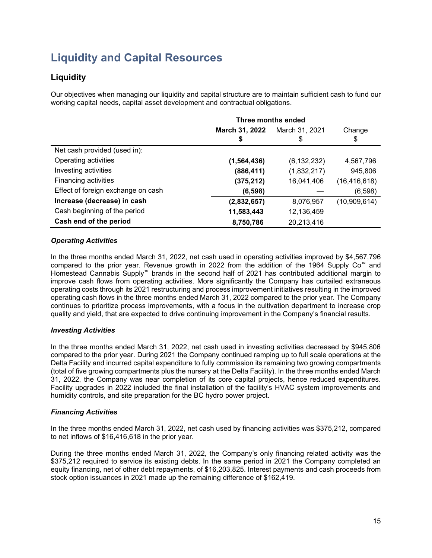# **Liquidity and Capital Resources**

### **Liquidity**

Our objectives when managing our liquidity and capital structure are to maintain sufficient cash to fund our working capital needs, capital asset development and contractual obligations.

|                                    | Three months ended |                |                |  |
|------------------------------------|--------------------|----------------|----------------|--|
|                                    | March 31, 2022     | March 31, 2021 | Change         |  |
|                                    | \$                 | \$             | \$             |  |
| Net cash provided (used in):       |                    |                |                |  |
| Operating activities               | (1, 564, 436)      | (6, 132, 232)  | 4,567,796      |  |
| Investing activities               | (886, 411)         | (1,832,217)    | 945,806        |  |
| Financing activities               | (375, 212)         | 16,041,406     | (16, 416, 618) |  |
| Effect of foreign exchange on cash | (6, 598)           |                | (6,598)        |  |
| Increase (decrease) in cash        | (2,832,657)        | 8,076,957      | (10,909,614)   |  |
| Cash beginning of the period       | 11,583,443         | 12,136,459     |                |  |
| Cash end of the period             | 8,750,786          | 20,213,416     |                |  |

#### *Operating Activities*

In the three months ended March 31, 2022, net cash used in operating activities improved by \$4,567,796 compared to the prior year. Revenue growth in 2022 from the addition of the 1964 Supply Co™ and Homestead Cannabis Supply™ brands in the second half of 2021 has contributed additional margin to improve cash flows from operating activities. More significantly the Company has curtailed extraneous operating costs through its 2021 restructuring and process improvement initiatives resulting in the improved operating cash flows in the three months ended March 31, 2022 compared to the prior year. The Company continues to prioritize process improvements, with a focus in the cultivation department to increase crop quality and yield, that are expected to drive continuing improvement in the Company's financial results.

#### *Investing Activities*

In the three months ended March 31, 2022, net cash used in investing activities decreased by \$945,806 compared to the prior year. During 2021 the Company continued ramping up to full scale operations at the Delta Facility and incurred capital expenditure to fully commission its remaining two growing compartments (total of five growing compartments plus the nursery at the Delta Facility). In the three months ended March 31, 2022, the Company was near completion of its core capital projects, hence reduced expenditures. Facility upgrades in 2022 included the final installation of the facility's HVAC system improvements and humidity controls, and site preparation for the BC hydro power project.

### *Financing Activities*

In the three months ended March 31, 2022, net cash used by financing activities was \$375,212, compared to net inflows of \$16,416,618 in the prior year.

During the three months ended March 31, 2022, the Company's only financing related activity was the \$375,212 required to service its existing debts. In the same period in 2021 the Company completed an equity financing, net of other debt repayments, of \$16,203,825. Interest payments and cash proceeds from stock option issuances in 2021 made up the remaining difference of \$162,419.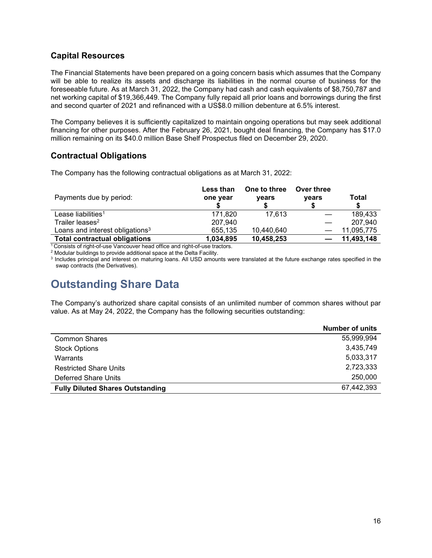### **Capital Resources**

The Financial Statements have been prepared on a going concern basis which assumes that the Company will be able to realize its assets and discharge its liabilities in the normal course of business for the foreseeable future. As at March 31, 2022, the Company had cash and cash equivalents of \$8,750,787 and net working capital of \$19,366,449. The Company fully repaid all prior loans and borrowings during the first and second quarter of 2021 and refinanced with a US\$8.0 million debenture at 6.5% interest.

The Company believes it is sufficiently capitalized to maintain ongoing operations but may seek additional financing for other purposes. After the February 26, 2021, bought deal financing, the Company has \$17.0 million remaining on its \$40.0 million Base Shelf Prospectus filed on December 29, 2020.

### **Contractual Obligations**

The Company has the following contractual obligations as at March 31, 2022:

| Payments due by period:                     | Less than<br>one year | One to three<br>years | Over three<br>vears | Total      |
|---------------------------------------------|-----------------------|-----------------------|---------------------|------------|
| Lease liabilities <sup>1</sup>              | 171.820               | 17.613                |                     | 189.433    |
| Trailer leases <sup>2</sup>                 | 207.940               |                       |                     | 207.940    |
| Loans and interest obligations <sup>3</sup> | 655,135               | 10,440,640            |                     | 11,095,775 |
| <b>Total contractual obligations</b>        | 1,034,895             | 10,458,253            |                     | 11,493,148 |

<sup>1</sup> Consists of right-of-use Vancouver head office and right-of-use tractors.

<sup>2</sup> Modular buildings to provide additional space at the Delta Facility.

<sup>3</sup> Includes principal and interest on maturing loans. All USD amounts were translated at the future exchange rates specified in the swap contracts (the Derivatives).

# **Outstanding Share Data**

The Company's authorized share capital consists of an unlimited number of common shares without par value. As at May 24, 2022, the Company has the following securities outstanding:

|                                         | <b>Number of units</b> |
|-----------------------------------------|------------------------|
| <b>Common Shares</b>                    | 55,999,994             |
| <b>Stock Options</b>                    | 3,435,749              |
| Warrants                                | 5,033,317              |
| <b>Restricted Share Units</b>           | 2,723,333              |
| Deferred Share Units                    | 250,000                |
| <b>Fully Diluted Shares Outstanding</b> | 67,442,393             |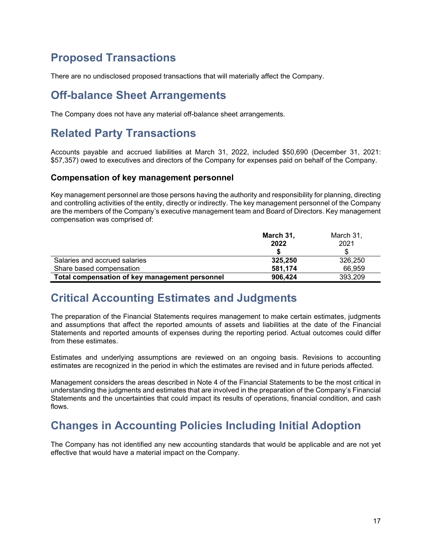### **Proposed Transactions**

There are no undisclosed proposed transactions that will materially affect the Company.

### **Off-balance Sheet Arrangements**

The Company does not have any material off-balance sheet arrangements.

# **Related Party Transactions**

Accounts payable and accrued liabilities at March 31, 2022, included \$50,690 (December 31, 2021: \$57,357) owed to executives and directors of the Company for expenses paid on behalf of the Company.

#### **Compensation of key management personnel**

Key management personnel are those persons having the authority and responsibility for planning, directing and controlling activities of the entity, directly or indirectly. The key management personnel of the Company are the members of the Company's executive management team and Board of Directors. Key management compensation was comprised of:

|                                                | March 31, | March 31, |
|------------------------------------------------|-----------|-----------|
|                                                | 2022      | 2021      |
|                                                |           |           |
| Salaries and accrued salaries                  | 325,250   | 326,250   |
| Share based compensation                       | 581.174   | 66,959    |
| Total compensation of key management personnel | 906.424   | 393.209   |

### **Critical Accounting Estimates and Judgments**

The preparation of the Financial Statements requires management to make certain estimates, judgments and assumptions that affect the reported amounts of assets and liabilities at the date of the Financial Statements and reported amounts of expenses during the reporting period. Actual outcomes could differ from these estimates.

Estimates and underlying assumptions are reviewed on an ongoing basis. Revisions to accounting estimates are recognized in the period in which the estimates are revised and in future periods affected.

Management considers the areas described in Note 4 of the Financial Statements to be the most critical in understanding the judgments and estimates that are involved in the preparation of the Company's Financial Statements and the uncertainties that could impact its results of operations, financial condition, and cash flows.

# **Changes in Accounting Policies Including Initial Adoption**

The Company has not identified any new accounting standards that would be applicable and are not yet effective that would have a material impact on the Company.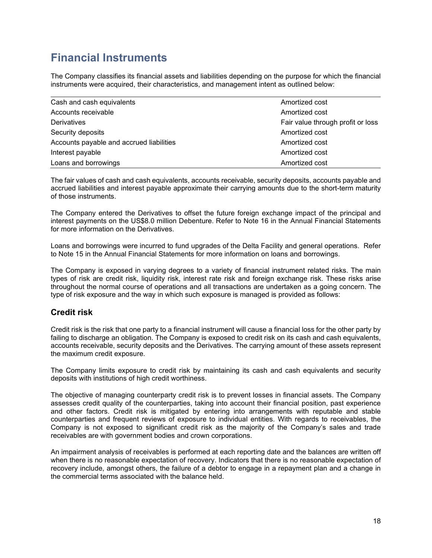# **Financial Instruments**

The Company classifies its financial assets and liabilities depending on the purpose for which the financial instruments were acquired, their characteristics, and management intent as outlined below:

| Cash and cash equivalents                | Amortized cost                    |
|------------------------------------------|-----------------------------------|
| Accounts receivable                      | Amortized cost                    |
| Derivatives                              | Fair value through profit or loss |
| Security deposits                        | Amortized cost                    |
| Accounts payable and accrued liabilities | Amortized cost                    |
| Interest payable                         | Amortized cost                    |
| Loans and borrowings                     | Amortized cost                    |

The fair values of cash and cash equivalents, accounts receivable, security deposits, accounts payable and accrued liabilities and interest payable approximate their carrying amounts due to the short-term maturity of those instruments.

The Company entered the Derivatives to offset the future foreign exchange impact of the principal and interest payments on the US\$8.0 million Debenture. Refer to Note 16 in the Annual Financial Statements for more information on the Derivatives.

Loans and borrowings were incurred to fund upgrades of the Delta Facility and general operations. Refer to Note 15 in the Annual Financial Statements for more information on loans and borrowings.

The Company is exposed in varying degrees to a variety of financial instrument related risks. The main types of risk are credit risk, liquidity risk, interest rate risk and foreign exchange risk. These risks arise throughout the normal course of operations and all transactions are undertaken as a going concern. The type of risk exposure and the way in which such exposure is managed is provided as follows:

### **Credit risk**

Credit risk is the risk that one party to a financial instrument will cause a financial loss for the other party by failing to discharge an obligation. The Company is exposed to credit risk on its cash and cash equivalents, accounts receivable, security deposits and the Derivatives. The carrying amount of these assets represent the maximum credit exposure.

The Company limits exposure to credit risk by maintaining its cash and cash equivalents and security deposits with institutions of high credit worthiness.

The objective of managing counterparty credit risk is to prevent losses in financial assets. The Company assesses credit quality of the counterparties, taking into account their financial position, past experience and other factors. Credit risk is mitigated by entering into arrangements with reputable and stable counterparties and frequent reviews of exposure to individual entities. With regards to receivables, the Company is not exposed to significant credit risk as the majority of the Company's sales and trade receivables are with government bodies and crown corporations.

An impairment analysis of receivables is performed at each reporting date and the balances are written off when there is no reasonable expectation of recovery. Indicators that there is no reasonable expectation of recovery include, amongst others, the failure of a debtor to engage in a repayment plan and a change in the commercial terms associated with the balance held.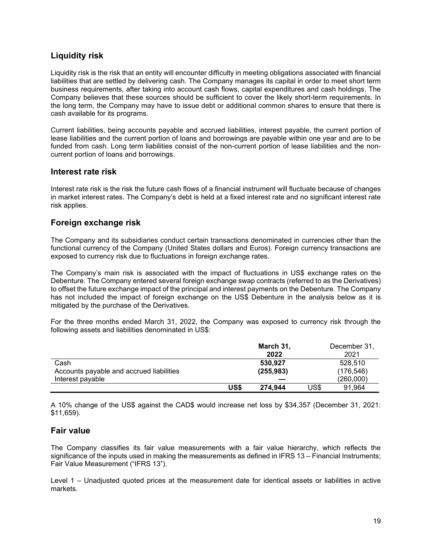### **Liquidity risk**

Liquidity risk is the risk that an entity will encounter difficulty in meeting obligations associated with financial liabilities that are settled by delivering cash. The Company manages its capital in order to meet short term business requirements, after taking into account cash flows, capital expenditures and cash holdings. The Company believes that these sources should be sufficient to cover the likely short-term requirements. In the long term, the Company may have to issue debt or additional common shares to ensure that there is cash available for its programs.

Current liabilities, being accounts payable and accrued liabilities, interest payable, the current portion of lease liabilities and the current portion of loans and borrowings are payable within one year and are to be funded from cash. Long term liabilities consist of the non-current portion of lease liabilities and the noncurrent portion of loans and borrowings.

#### **Interest rate risk**

Interest rate risk is the risk the future cash flows of a financial instrument will fluctuate because of changes in market interest rates. The Company's debt is held at a fixed interest rate and no significant interest rate risk applies.

### **Foreign exchange risk**

The Company and its subsidiaries conduct certain transactions denominated in currencies other than the functional currency of the Company (United States dollars and Euros). Foreign currency transactions are exposed to currency risk due to fluctuations in foreign exchange rates.

The Company's main risk is associated with the impact of fluctuations in US\$ exchange rates on the Debenture. The Company entered several foreign exchange swap contracts (referred to as the Derivatives) to offset the future exchange impact of the principal and interest payments on the Debenture. The Company has not included the impact of foreign exchange on the US\$ Debenture in the analysis below as it is mitigated by the purchase of the Derivatives.

For the three months ended March 31, 2022, the Company was exposed to currency risk through the following assets and liabilities denominated in US\$:

|                                          |      | March 31,  |      | December 31, |
|------------------------------------------|------|------------|------|--------------|
|                                          |      | 2022       |      | 2021         |
| Cash                                     |      | 530.927    |      | 528.510      |
| Accounts payable and accrued liabilities |      | (255, 983) |      | (176, 546)   |
| Interest payable                         |      |            |      | (260,000)    |
|                                          | US\$ | 274.944    | US\$ | 91.964       |

A 10% change of the US\$ against the CAD\$ would increase net loss by \$34,357 (December 31, 2021: \$11,659).

### **Fair value**

The Company classifies its fair value measurements with a fair value hierarchy, which reflects the significance of the inputs used in making the measurements as defined in IFRS 13 – Financial Instruments; Fair Value Measurement ("IFRS 13").

Level 1 – Unadjusted quoted prices at the measurement date for identical assets or liabilities in active markets.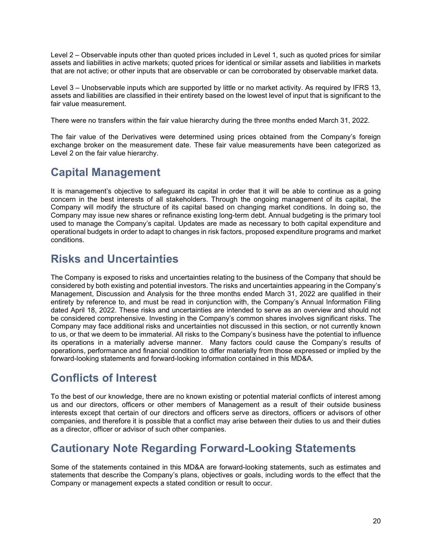Level 2 – Observable inputs other than quoted prices included in Level 1, such as quoted prices for similar assets and liabilities in active markets; quoted prices for identical or similar assets and liabilities in markets that are not active; or other inputs that are observable or can be corroborated by observable market data.

Level 3 – Unobservable inputs which are supported by little or no market activity. As required by IFRS 13, assets and liabilities are classified in their entirety based on the lowest level of input that is significant to the fair value measurement.

There were no transfers within the fair value hierarchy during the three months ended March 31, 2022.

The fair value of the Derivatives were determined using prices obtained from the Company's foreign exchange broker on the measurement date. These fair value measurements have been categorized as Level 2 on the fair value hierarchy.

# **Capital Management**

It is management's objective to safeguard its capital in order that it will be able to continue as a going concern in the best interests of all stakeholders. Through the ongoing management of its capital, the Company will modify the structure of its capital based on changing market conditions. In doing so, the Company may issue new shares or refinance existing long-term debt. Annual budgeting is the primary tool used to manage the Company's capital. Updates are made as necessary to both capital expenditure and operational budgets in order to adapt to changes in risk factors, proposed expenditure programs and market conditions.

# **Risks and Uncertainties**

The Company is exposed to risks and uncertainties relating to the business of the Company that should be considered by both existing and potential investors. The risks and uncertainties appearing in the Company's Management, Discussion and Analysis for the three months ended March 31, 2022 are qualified in their entirety by reference to, and must be read in conjunction with, the Company's Annual Information Filing dated April 18, 2022. These risks and uncertainties are intended to serve as an overview and should not be considered comprehensive. Investing in the Company's common shares involves significant risks. The Company may face additional risks and uncertainties not discussed in this section, or not currently known to us, or that we deem to be immaterial. All risks to the Company's business have the potential to influence its operations in a materially adverse manner. Many factors could cause the Company's results of operations, performance and financial condition to differ materially from those expressed or implied by the forward-looking statements and forward-looking information contained in this MD&A.

# **Conflicts of Interest**

To the best of our knowledge, there are no known existing or potential material conflicts of interest among us and our directors, officers or other members of Management as a result of their outside business interests except that certain of our directors and officers serve as directors, officers or advisors of other companies, and therefore it is possible that a conflict may arise between their duties to us and their duties as a director, officer or advisor of such other companies.

# **Cautionary Note Regarding Forward-Looking Statements**

Some of the statements contained in this MD&A are forward-looking statements, such as estimates and statements that describe the Company's plans, objectives or goals, including words to the effect that the Company or management expects a stated condition or result to occur.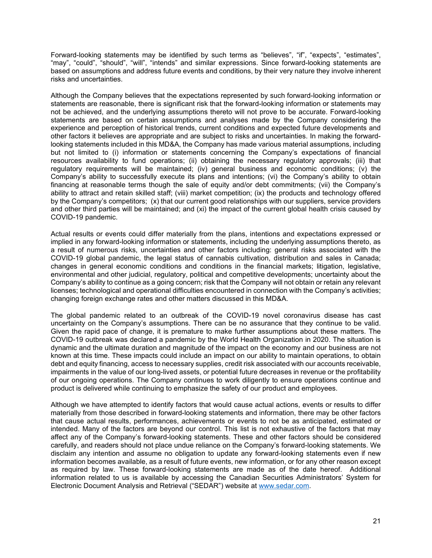Forward-looking statements may be identified by such terms as "believes", "if", "expects", "estimates", "may", "could", "should", "will", "intends" and similar expressions. Since forward-looking statements are based on assumptions and address future events and conditions, by their very nature they involve inherent risks and uncertainties.

Although the Company believes that the expectations represented by such forward-looking information or statements are reasonable, there is significant risk that the forward-looking information or statements may not be achieved, and the underlying assumptions thereto will not prove to be accurate. Forward-looking statements are based on certain assumptions and analyses made by the Company considering the experience and perception of historical trends, current conditions and expected future developments and other factors it believes are appropriate and are subject to risks and uncertainties. In making the forwardlooking statements included in this MD&A, the Company has made various material assumptions, including but not limited to (i) information or statements concerning the Company's expectations of financial resources availability to fund operations; (ii) obtaining the necessary regulatory approvals; (iii) that regulatory requirements will be maintained; (iv) general business and economic conditions; (v) the Company's ability to successfully execute its plans and intentions; (vi) the Company's ability to obtain financing at reasonable terms though the sale of equity and/or debt commitments; (vii) the Company's ability to attract and retain skilled staff; (viii) market competition; (ix) the products and technology offered by the Company's competitors; (x) that our current good relationships with our suppliers, service providers and other third parties will be maintained; and (xi) the impact of the current global health crisis caused by COVID-19 pandemic.

Actual results or events could differ materially from the plans, intentions and expectations expressed or implied in any forward-looking information or statements, including the underlying assumptions thereto, as a result of numerous risks, uncertainties and other factors including: general risks associated with the COVID-19 global pandemic, the legal status of cannabis cultivation, distribution and sales in Canada; changes in general economic conditions and conditions in the financial markets; litigation, legislative, environmental and other judicial, regulatory, political and competitive developments; uncertainty about the Company's ability to continue as a going concern; risk that the Company will not obtain or retain any relevant licenses; technological and operational difficulties encountered in connection with the Company's activities; changing foreign exchange rates and other matters discussed in this MD&A.

The global pandemic related to an outbreak of the COVID-19 novel coronavirus disease has cast uncertainty on the Company's assumptions. There can be no assurance that they continue to be valid. Given the rapid pace of change, it is premature to make further assumptions about these matters. The COVID-19 outbreak was declared a pandemic by the World Health Organization in 2020. The situation is dynamic and the ultimate duration and magnitude of the impact on the economy and our business are not known at this time. These impacts could include an impact on our ability to maintain operations, to obtain debt and equity financing, access to necessary supplies, credit risk associated with our accounts receivable, impairments in the value of our long-lived assets, or potential future decreases in revenue or the profitability of our ongoing operations. The Company continues to work diligently to ensure operations continue and product is delivered while continuing to emphasize the safety of our product and employees.

Although we have attempted to identify factors that would cause actual actions, events or results to differ materially from those described in forward-looking statements and information, there may be other factors that cause actual results, performances, achievements or events to not be as anticipated, estimated or intended. Many of the factors are beyond our control. This list is not exhaustive of the factors that may affect any of the Company's forward-looking statements. These and other factors should be considered carefully, and readers should not place undue reliance on the Company's forward-looking statements. We disclaim any intention and assume no obligation to update any forward-looking statements even if new information becomes available, as a result of future events, new information, or for any other reason except as required by law. These forward-looking statements are made as of the date hereof. Additional information related to us is available by accessing the Canadian Securities Administrators' System for Electronic Document Analysis and Retrieval ("SEDAR") website at [www.sedar.com.](http://www.sedar.com/)